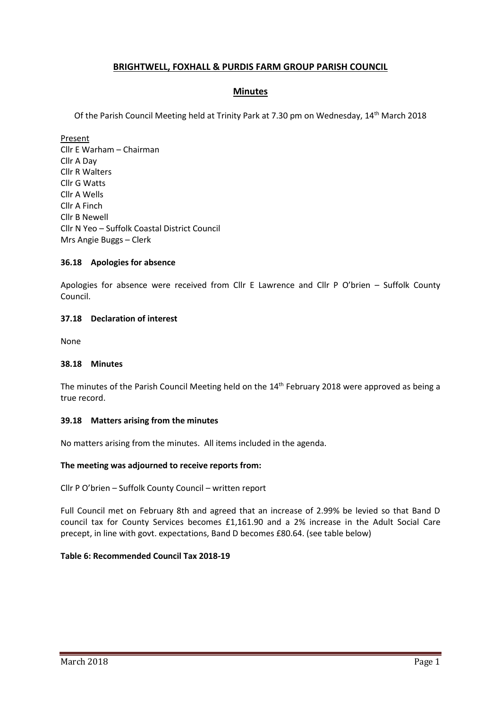# **BRIGHTWELL, FOXHALL & PURDIS FARM GROUP PARISH COUNCIL**

## **Minutes**

Of the Parish Council Meeting held at Trinity Park at 7.30 pm on Wednesday, 14th March 2018

Present Cllr E Warham – Chairman Cllr A Day Cllr R Walters Cllr G Watts Cllr A Wells Cllr A Finch Cllr B Newell Cllr N Yeo – Suffolk Coastal District Council Mrs Angie Buggs – Clerk

## **36.18 Apologies for absence**

Apologies for absence were received from Cllr E Lawrence and Cllr P O'brien – Suffolk County Council.

## **37.18 Declaration of interest**

None

## **38.18 Minutes**

The minutes of the Parish Council Meeting held on the 14<sup>th</sup> February 2018 were approved as being a true record.

## **39.18 Matters arising from the minutes**

No matters arising from the minutes. All items included in the agenda.

## **The meeting was adjourned to receive reports from:**

Cllr P O'brien – Suffolk County Council – written report

Full Council met on February 8th and agreed that an increase of 2.99% be levied so that Band D council tax for County Services becomes £1,161.90 and a 2% increase in the Adult Social Care precept, in line with govt. expectations, Band D becomes £80.64. (see table below)

## **Table 6: Recommended Council Tax 2018-19**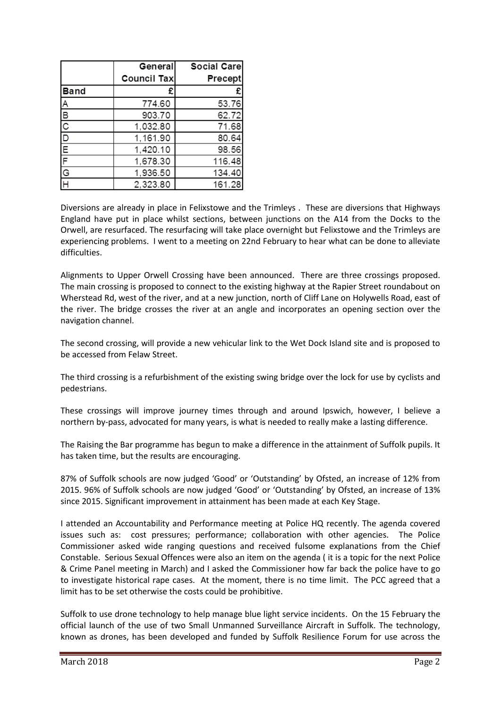|                           | General            | Social Care    |
|---------------------------|--------------------|----------------|
|                           | <b>Council Tax</b> | <b>Precept</b> |
| <b>Band</b>               | £                  | £              |
|                           | 774.60             | 53.76          |
|                           | 903.70             | 62.72          |
|                           | 1,032.80           | 71.68          |
|                           | 1,161.90           | 80.64          |
|                           | 1,420.10           | 98.56          |
|                           | 1,678.30           | 116.48         |
| A   m   m   p   c   p   p | 1,936.50           | 134.40         |
|                           | 2,323.80           | 161.28         |

Diversions are already in place in Felixstowe and the Trimleys . These are diversions that Highways England have put in place whilst sections, between junctions on the A14 from the Docks to the Orwell, are resurfaced. The resurfacing will take place overnight but Felixstowe and the Trimleys are experiencing problems. I went to a meeting on 22nd February to hear what can be done to alleviate difficulties.

Alignments to Upper Orwell Crossing have been announced. There are three crossings proposed. The main crossing is proposed to connect to the existing highway at the Rapier Street roundabout on Wherstead Rd, west of the river, and at a new junction, north of Cliff Lane on Holywells Road, east of the river. The bridge crosses the river at an angle and incorporates an opening section over the navigation channel.

The second crossing, will provide a new vehicular link to the Wet Dock Island site and is proposed to be accessed from Felaw Street.

The third crossing is a refurbishment of the existing swing bridge over the lock for use by cyclists and pedestrians.

These crossings will improve journey times through and around Ipswich, however, I believe a northern by-pass, advocated for many years, is what is needed to really make a lasting difference.

The Raising the Bar programme has begun to make a difference in the attainment of Suffolk pupils. It has taken time, but the results are encouraging.

87% of Suffolk schools are now judged 'Good' or 'Outstanding' by Ofsted, an increase of 12% from 2015. 96% of Suffolk schools are now judged 'Good' or 'Outstanding' by Ofsted, an increase of 13% since 2015. Significant improvement in attainment has been made at each Key Stage.

I attended an Accountability and Performance meeting at Police HQ recently. The agenda covered issues such as: cost pressures; performance; collaboration with other agencies. The Police Commissioner asked wide ranging questions and received fulsome explanations from the Chief Constable. Serious Sexual Offences were also an item on the agenda ( it is a topic for the next Police & Crime Panel meeting in March) and I asked the Commissioner how far back the police have to go to investigate historical rape cases. At the moment, there is no time limit. The PCC agreed that a limit has to be set otherwise the costs could be prohibitive.

Suffolk to use drone technology to help manage blue light service incidents. On the 15 February the official launch of the use of two Small Unmanned Surveillance Aircraft in Suffolk. The technology, known as drones, has been developed and funded by Suffolk Resilience Forum for use across the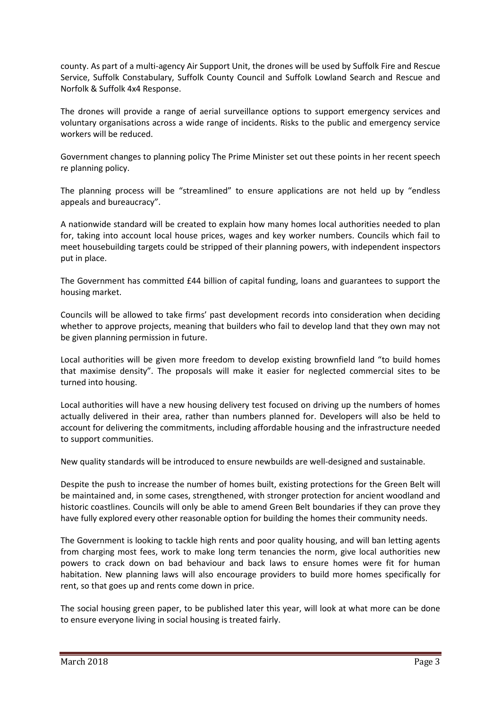county. As part of a multi-agency Air Support Unit, the drones will be used by Suffolk Fire and Rescue Service, Suffolk Constabulary, Suffolk County Council and Suffolk Lowland Search and Rescue and Norfolk & Suffolk 4x4 Response.

The drones will provide a range of aerial surveillance options to support emergency services and voluntary organisations across a wide range of incidents. Risks to the public and emergency service workers will be reduced.

Government changes to planning policy The Prime Minister set out these points in her recent speech re planning policy.

The planning process will be "streamlined" to ensure applications are not held up by "endless appeals and bureaucracy".

A nationwide standard will be created to explain how many homes local authorities needed to plan for, taking into account local house prices, wages and key worker numbers. Councils which fail to meet housebuilding targets could be stripped of their planning powers, with independent inspectors put in place.

The Government has committed £44 billion of capital funding, loans and guarantees to support the housing market.

Councils will be allowed to take firms' past development records into consideration when deciding whether to approve projects, meaning that builders who fail to develop land that they own may not be given planning permission in future.

Local authorities will be given more freedom to develop existing brownfield land "to build homes that maximise density". The proposals will make it easier for neglected commercial sites to be turned into housing.

Local authorities will have a new housing delivery test focused on driving up the numbers of homes actually delivered in their area, rather than numbers planned for. Developers will also be held to account for delivering the commitments, including affordable housing and the infrastructure needed to support communities.

New quality standards will be introduced to ensure newbuilds are well-designed and sustainable.

Despite the push to increase the number of homes built, existing protections for the Green Belt will be maintained and, in some cases, strengthened, with stronger protection for ancient woodland and historic coastlines. Councils will only be able to amend Green Belt boundaries if they can prove they have fully explored every other reasonable option for building the homes their community needs.

The Government is looking to tackle high rents and poor quality housing, and will ban letting agents from charging most fees, work to make long term tenancies the norm, give local authorities new powers to crack down on bad behaviour and back laws to ensure homes were fit for human habitation. New planning laws will also encourage providers to build more homes specifically for rent, so that goes up and rents come down in price.

The social housing green paper, to be published later this year, will look at what more can be done to ensure everyone living in social housing is treated fairly.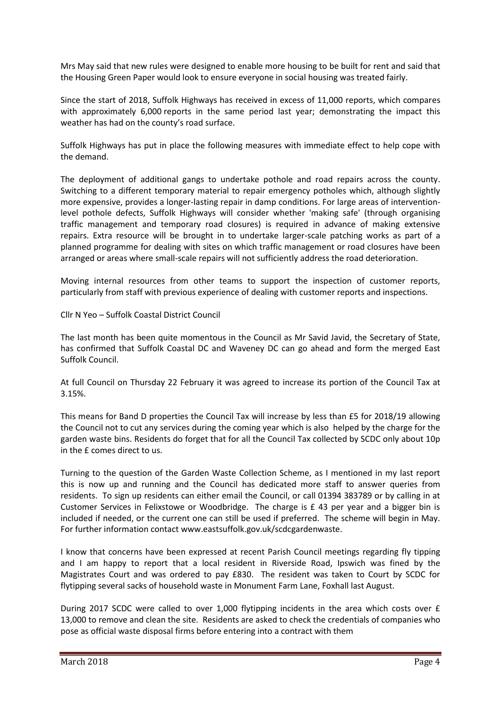Mrs May said that new rules were designed to enable more housing to be built for rent and said that the Housing Green Paper would look to ensure everyone in social housing was treated fairly.

Since the start of 2018, Suffolk Highways has received in excess of 11,000 reports, which compares with approximately 6,000 reports in the same period last year; demonstrating the impact this weather has had on the county's road surface.

Suffolk Highways has put in place the following measures with immediate effect to help cope with the demand.

The deployment of additional gangs to undertake pothole and road repairs across the county. Switching to a different temporary material to repair emergency potholes which, although slightly more expensive, provides a longer-lasting repair in damp conditions. For large areas of interventionlevel pothole defects, Suffolk Highways will consider whether 'making safe' (through organising traffic management and temporary road closures) is required in advance of making extensive repairs. Extra resource will be brought in to undertake larger-scale patching works as part of a planned programme for dealing with sites on which traffic management or road closures have been arranged or areas where small-scale repairs will not sufficiently address the road deterioration.

Moving internal resources from other teams to support the inspection of customer reports, particularly from staff with previous experience of dealing with customer reports and inspections.

Cllr N Yeo – Suffolk Coastal District Council

The last month has been quite momentous in the Council as Mr Savid Javid, the Secretary of State, has confirmed that Suffolk Coastal DC and Waveney DC can go ahead and form the merged East Suffolk Council.

At full Council on Thursday 22 February it was agreed to increase its portion of the Council Tax at 3.15%.

This means for Band D properties the Council Tax will increase by less than £5 for 2018/19 allowing the Council not to cut any services during the coming year which is also helped by the charge for the garden waste bins. Residents do forget that for all the Council Tax collected by SCDC only about 10p in the £ comes direct to us.

Turning to the question of the Garden Waste Collection Scheme, as I mentioned in my last report this is now up and running and the Council has dedicated more staff to answer queries from residents. To sign up residents can either email the Council, or call 01394 383789 or by calling in at Customer Services in Felixstowe or Woodbridge. The charge is £ 43 per year and a bigger bin is included if needed, or the current one can still be used if preferred. The scheme will begin in May. For further information contact [www.eastsuffolk.gov.uk/scdcgardenwaste.](http://www.eastsuffolk.gov.uk/scdcgardenwaste)

I know that concerns have been expressed at recent Parish Council meetings regarding fly tipping and I am happy to report that a local resident in Riverside Road, Ipswich was fined by the Magistrates Court and was ordered to pay £830. The resident was taken to Court by SCDC for flytipping several sacks of household waste in Monument Farm Lane, Foxhall last August.

During 2017 SCDC were called to over 1,000 flytipping incidents in the area which costs over £ 13,000 to remove and clean the site. Residents are asked to check the credentials of companies who pose as official waste disposal firms before entering into a contract with them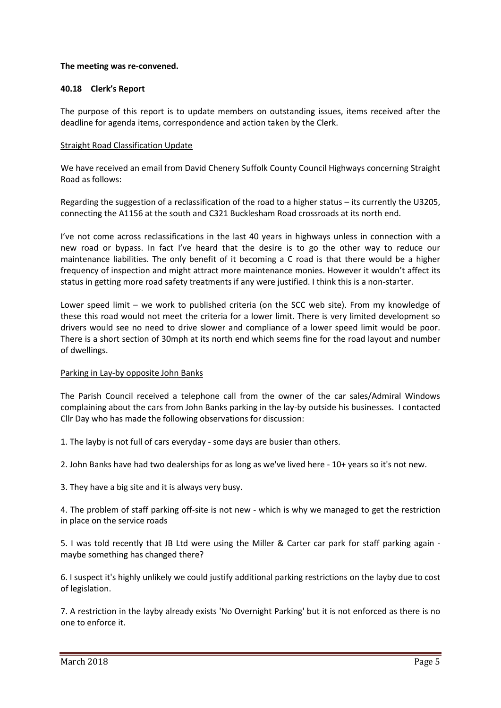## **The meeting was re-convened.**

## **40.18 Clerk's Report**

The purpose of this report is to update members on outstanding issues, items received after the deadline for agenda items, correspondence and action taken by the Clerk.

## Straight Road Classification Update

We have received an email from David Chenery Suffolk County Council Highways concerning Straight Road as follows:

Regarding the suggestion of a reclassification of the road to a higher status – its currently the U3205, connecting the A1156 at the south and C321 Bucklesham Road crossroads at its north end.

I've not come across reclassifications in the last 40 years in highways unless in connection with a new road or bypass. In fact I've heard that the desire is to go the other way to reduce our maintenance liabilities. The only benefit of it becoming a C road is that there would be a higher frequency of inspection and might attract more maintenance monies. However it wouldn't affect its status in getting more road safety treatments if any were justified. I think this is a non-starter.

Lower speed limit – we work to published criteria (on the SCC web site). From my knowledge of these this road would not meet the criteria for a lower limit. There is very limited development so drivers would see no need to drive slower and compliance of a lower speed limit would be poor. There is a short section of 30mph at its north end which seems fine for the road layout and number of dwellings.

## Parking in Lay-by opposite John Banks

The Parish Council received a telephone call from the owner of the car sales/Admiral Windows complaining about the cars from John Banks parking in the lay-by outside his businesses. I contacted Cllr Day who has made the following observations for discussion:

1. The layby is not full of cars everyday - some days are busier than others.

2. John Banks have had two dealerships for as long as we've lived here - 10+ years so it's not new.

3. They have a big site and it is always very busy.

4. The problem of staff parking off-site is not new - which is why we managed to get the restriction in place on the service roads

5. I was told recently that JB Ltd were using the Miller & Carter car park for staff parking again maybe something has changed there?

6. I suspect it's highly unlikely we could justify additional parking restrictions on the layby due to cost of legislation.

7. A restriction in the layby already exists 'No Overnight Parking' but it is not enforced as there is no one to enforce it.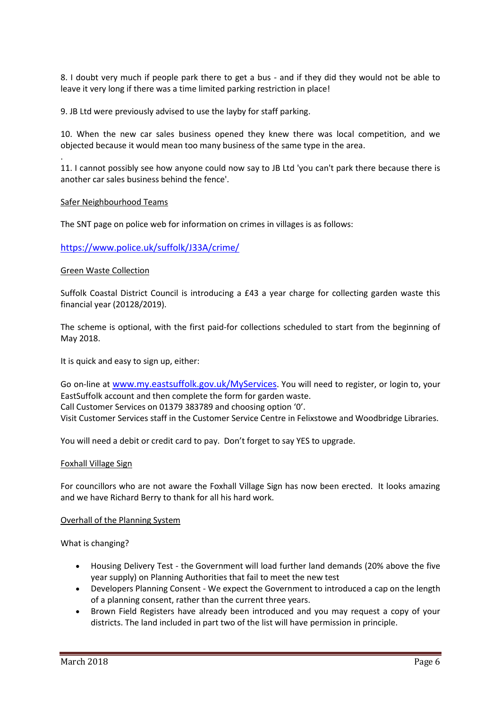8. I doubt very much if people park there to get a bus - and if they did they would not be able to leave it very long if there was a time limited parking restriction in place!

9. JB Ltd were previously advised to use the layby for staff parking.

10. When the new car sales business opened they knew there was local competition, and we objected because it would mean too many business of the same type in the area.

11. I cannot possibly see how anyone could now say to JB Ltd 'you can't park there because there is another car sales business behind the fence'.

## Safer Neighbourhood Teams

.

The SNT page on police web for information on crimes in villages is as follows:

## <https://www.police.uk/suffolk/J33A/crime/>

#### Green Waste Collection

Suffolk Coastal District Council is introducing a £43 a year charge for collecting garden waste this financial year (20128/2019).

The scheme is optional, with the first paid-for collections scheduled to start from the beginning of May 2018.

It is quick and easy to sign up, either:

Go on-line at [www.my.eastsuffolk.gov.uk/MyServices](http://www.my.eastsuffolk.gov.uk/MyServices). You will need to register, or login to, your EastSuffolk account and then complete the form for garden waste. Call Customer Services on 01379 383789 and choosing option '0'. Visit Customer Services staff in the Customer Service Centre in Felixstowe and Woodbridge Libraries.

You will need a debit or credit card to pay. Don't forget to say YES to upgrade.

#### Foxhall Village Sign

For councillors who are not aware the Foxhall Village Sign has now been erected. It looks amazing and we have Richard Berry to thank for all his hard work.

#### Overhall of the Planning System

What is changing?

- Housing Delivery Test the Government will load further land demands (20% above the five year supply) on Planning Authorities that fail to meet the new test
- Developers Planning Consent We expect the Government to introduced a cap on the length of a planning consent, rather than the current three years.
- Brown Field Registers have already been introduced and you may request a copy of your districts. The land included in part two of the list will have permission in principle.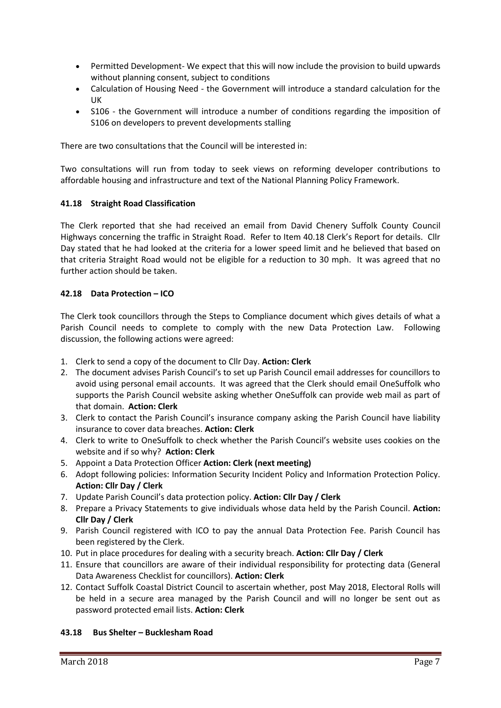- Permitted Development- We expect that this will now include the provision to build upwards without planning consent, subject to conditions
- Calculation of Housing Need the Government will introduce a standard calculation for the UK
- S106 the Government will introduce a number of conditions regarding the imposition of S106 on developers to prevent developments stalling

There are two consultations that the Council will be interested in:

Two consultations will run from today to seek views on [reforming developer contributions to](https://www.gov.uk/government/consultations/supporting-housing-delivery-through-developer-contributions)  [affordable housing and infrastructure](https://www.gov.uk/government/consultations/supporting-housing-delivery-through-developer-contributions) an[d text of the National Planning Policy Framework.](https://www.gov.uk/government/consultations/draft-revised-national-planning-policy-framework)

## **41.18 Straight Road Classification**

The Clerk reported that she had received an email from David Chenery Suffolk County Council Highways concerning the traffic in Straight Road. Refer to Item 40.18 Clerk's Report for details. Cllr Day stated that he had looked at the criteria for a lower speed limit and he believed that based on that criteria Straight Road would not be eligible for a reduction to 30 mph. It was agreed that no further action should be taken.

## **42.18 Data Protection – ICO**

The Clerk took councillors through the Steps to Compliance document which gives details of what a Parish Council needs to complete to comply with the new Data Protection Law. Following discussion, the following actions were agreed:

- 1. Clerk to send a copy of the document to Cllr Day. **Action: Clerk**
- 2. The document advises Parish Council's to set up Parish Council email addresses for councillors to avoid using personal email accounts. It was agreed that the Clerk should email OneSuffolk who supports the Parish Council website asking whether OneSuffolk can provide web mail as part of that domain. **Action: Clerk**
- 3. Clerk to contact the Parish Council's insurance company asking the Parish Council have liability insurance to cover data breaches. **Action: Clerk**
- 4. Clerk to write to OneSuffolk to check whether the Parish Council's website uses cookies on the website and if so why? **Action: Clerk**
- 5. Appoint a Data Protection Officer **Action: Clerk (next meeting)**
- 6. Adopt following policies: Information Security Incident Policy and Information Protection Policy. **Action: Cllr Day / Clerk**
- 7. Update Parish Council's data protection policy. **Action: Cllr Day / Clerk**
- 8. Prepare a Privacy Statements to give individuals whose data held by the Parish Council. **Action: Cllr Day / Clerk**
- 9. Parish Council registered with ICO to pay the annual Data Protection Fee. Parish Council has been registered by the Clerk.
- 10. Put in place procedures for dealing with a security breach. **Action: Cllr Day / Clerk**
- 11. Ensure that councillors are aware of their individual responsibility for protecting data (General Data Awareness Checklist for councillors). **Action: Clerk**
- 12. Contact Suffolk Coastal District Council to ascertain whether, post May 2018, Electoral Rolls will be held in a secure area managed by the Parish Council and will no longer be sent out as password protected email lists. **Action: Clerk**

## **43.18 Bus Shelter – Bucklesham Road**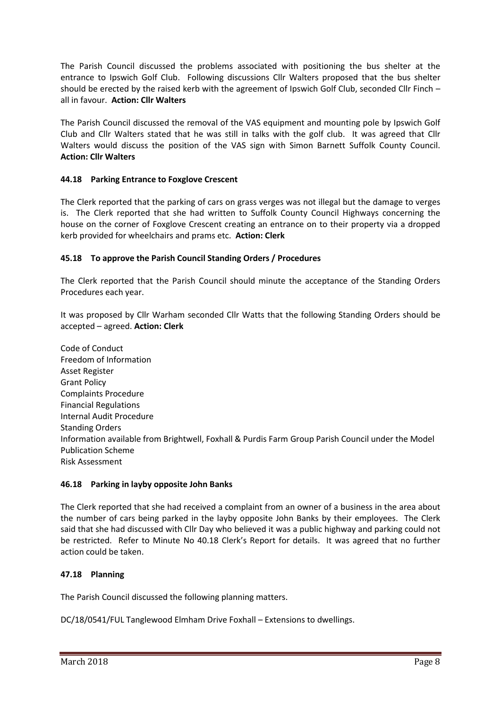The Parish Council discussed the problems associated with positioning the bus shelter at the entrance to Ipswich Golf Club. Following discussions Cllr Walters proposed that the bus shelter should be erected by the raised kerb with the agreement of Ipswich Golf Club, seconded Cllr Finch – all in favour. **Action: Cllr Walters**

The Parish Council discussed the removal of the VAS equipment and mounting pole by Ipswich Golf Club and Cllr Walters stated that he was still in talks with the golf club. It was agreed that Cllr Walters would discuss the position of the VAS sign with Simon Barnett Suffolk County Council. **Action: Cllr Walters**

## **44.18 Parking Entrance to Foxglove Crescent**

The Clerk reported that the parking of cars on grass verges was not illegal but the damage to verges is. The Clerk reported that she had written to Suffolk County Council Highways concerning the house on the corner of Foxglove Crescent creating an entrance on to their property via a dropped kerb provided for wheelchairs and prams etc. **Action: Clerk**

## **45.18 To approve the Parish Council Standing Orders / Procedures**

The Clerk reported that the Parish Council should minute the acceptance of the Standing Orders Procedures each year.

It was proposed by Cllr Warham seconded Cllr Watts that the following Standing Orders should be accepted – agreed. **Action: Clerk**

Code of Conduct Freedom of Information Asset Register Grant Policy Complaints Procedure Financial Regulations Internal Audit Procedure Standing Orders Information available from Brightwell, Foxhall & Purdis Farm Group Parish Council under the Model Publication Scheme Risk Assessment

## **46.18 Parking in layby opposite John Banks**

The Clerk reported that she had received a complaint from an owner of a business in the area about the number of cars being parked in the layby opposite John Banks by their employees. The Clerk said that she had discussed with Cllr Day who believed it was a public highway and parking could not be restricted. Refer to Minute No 40.18 Clerk's Report for details. It was agreed that no further action could be taken.

## **47.18 Planning**

The Parish Council discussed the following planning matters.

DC/18/0541/FUL Tanglewood Elmham Drive Foxhall – Extensions to dwellings.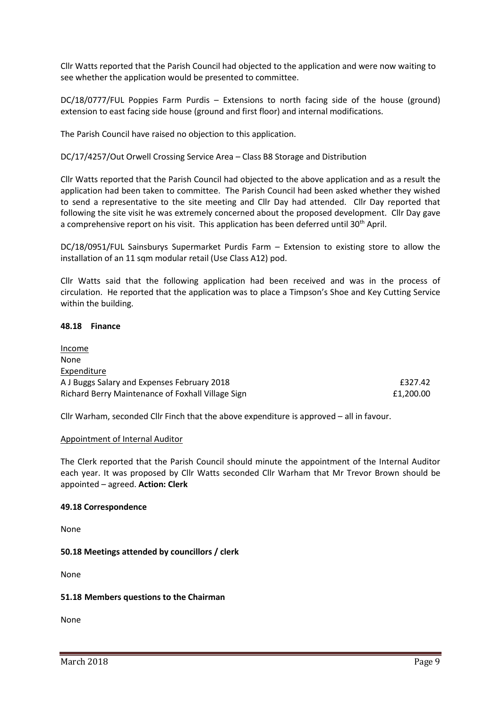Cllr Watts reported that the Parish Council had objected to the application and were now waiting to see whether the application would be presented to committee.

DC/18/0777/FUL Poppies Farm Purdis – Extensions to north facing side of the house (ground) extension to east facing side house (ground and first floor) and internal modifications.

The Parish Council have raised no objection to this application.

DC/17/4257/Out Orwell Crossing Service Area – Class B8 Storage and Distribution

Cllr Watts reported that the Parish Council had objected to the above application and as a result the application had been taken to committee. The Parish Council had been asked whether they wished to send a representative to the site meeting and Cllr Day had attended. Cllr Day reported that following the site visit he was extremely concerned about the proposed development. Cllr Day gave a comprehensive report on his visit. This application has been deferred until 30<sup>th</sup> April.

DC/18/0951/FUL Sainsburys Supermarket Purdis Farm – Extension to existing store to allow the installation of an 11 sqm modular retail (Use Class A12) pod.

Cllr Watts said that the following application had been received and was in the process of circulation. He reported that the application was to place a Timpson's Shoe and Key Cutting Service within the building.

#### **48.18 Finance**

Income None **Expenditure** A J Buggs Salary and Expenses February 2018 £327.42 Richard Berry Maintenance of Foxhall Village Sign **Example 2001** 2004 2010 11:200.00

Cllr Warham, seconded Cllr Finch that the above expenditure is approved – all in favour.

## Appointment of Internal Auditor

The Clerk reported that the Parish Council should minute the appointment of the Internal Auditor each year. It was proposed by Cllr Watts seconded Cllr Warham that Mr Trevor Brown should be appointed – agreed. **Action: Clerk**

## **49.18 Correspondence**

None

**50.18 Meetings attended by councillors / clerk**

None

## **51.18 Members questions to the Chairman**

None